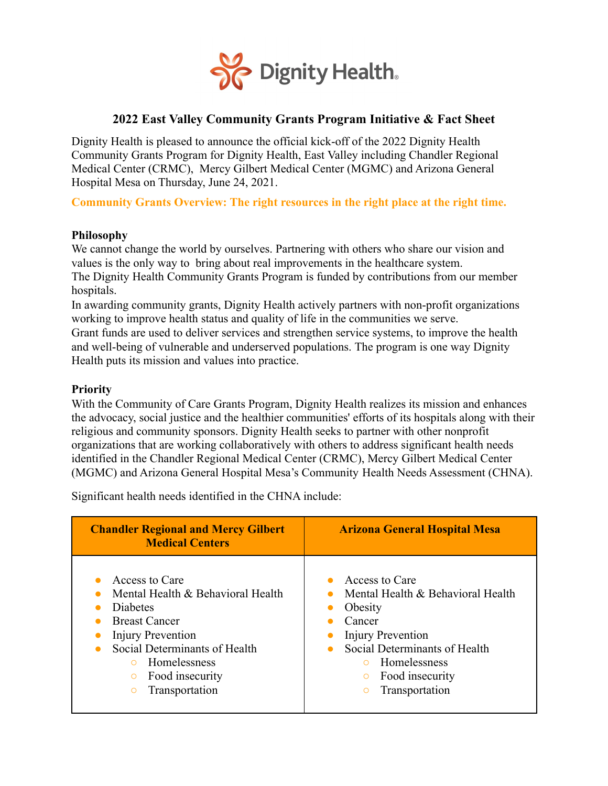

# **2022 East Valley Community Grants Program Initiative & Fact Sheet**

Dignity Health is pleased to announce the official kick-off of the 2022 Dignity Health Community Grants Program for Dignity Health, East Valley including Chandler Regional Medical Center (CRMC), Mercy Gilbert Medical Center (MGMC) and Arizona General Hospital Mesa on Thursday, June 24, 2021.

**Community Grants Overview: The right resources in the right place at the right time.**

#### **Philosophy**

We cannot change the world by ourselves. Partnering with others who share our vision and values is the only way to bring about real improvements in the healthcare system. The Dignity Health Community Grants Program is funded by contributions from our member hospitals.

In awarding community grants, Dignity Health actively partners with non-profit organizations working to improve health status and quality of life in the communities we serve.

Grant funds are used to deliver services and strengthen service systems, to improve the health and well-being of vulnerable and underserved populations. The program is one way Dignity Health puts its mission and values into practice.

#### **Priority**

With the Community of Care Grants Program, Dignity Health realizes its mission and enhances the advocacy, social justice and the healthier communities' efforts of its hospitals along with their religious and community sponsors. Dignity Health seeks to partner with other nonprofit organizations that are working collaboratively with others to address significant health needs identified in the Chandler Regional Medical Center (CRMC), Mercy Gilbert Medical Center (MGMC) and Arizona General Hospital Mesa's Community Health Needs Assessment (CHNA).

Significant health needs identified in the CHNA include:

| <b>Chandler Regional and Mercy Gilbert</b><br><b>Medical Centers</b>                                                                                                                                                                       | <b>Arizona General Hospital Mesa</b>                                                                                                                                                                                                                  |
|--------------------------------------------------------------------------------------------------------------------------------------------------------------------------------------------------------------------------------------------|-------------------------------------------------------------------------------------------------------------------------------------------------------------------------------------------------------------------------------------------------------|
| Access to Care<br>Mental Health & Behavioral Health<br><b>Diabetes</b><br><b>Breast Cancer</b><br>Injury Prevention<br>Social Determinants of Health<br>Homelessness<br>$\circ$<br>Food insecurity<br>$\circ$<br>Transportation<br>$\circ$ | Access to Care<br>$\bullet$<br>Mental Health & Behavioral Health<br>$\bullet$<br>Obesity<br>Cancer<br>Injury Prevention<br>Social Determinants of Health<br>$\bullet$<br>Homelessness<br>$\circ$<br>Food insecurity<br>$\circ$<br>Transportation<br>O |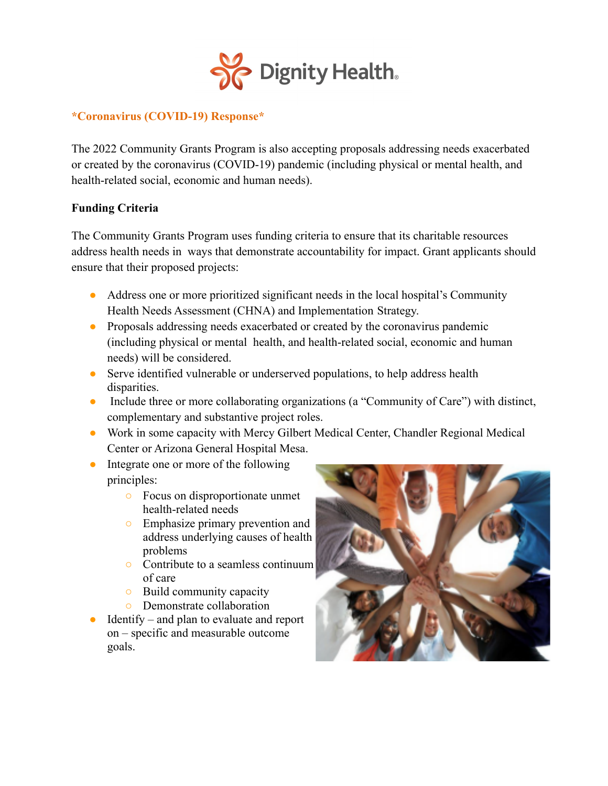

#### **\*Coronavirus (COVID-19) Response\***

The 2022 Community Grants Program is also accepting proposals addressing needs exacerbated or created by the coronavirus (COVID-19) pandemic (including physical or mental health, and health-related social, economic and human needs).

## **Funding Criteria**

The Community Grants Program uses funding criteria to ensure that its charitable resources address health needs in ways that demonstrate accountability for impact. Grant applicants should ensure that their proposed projects:

- Address one or more prioritized significant needs in the local hospital's Community Health Needs Assessment (CHNA) and Implementation Strategy.
- Proposals addressing needs exacerbated or created by the coronavirus pandemic (including physical or mental health, and health-related social, economic and human needs) will be considered.
- Serve identified vulnerable or underserved populations, to help address health disparities.
- Include three or more collaborating organizations (a "Community of Care") with distinct, complementary and substantive project roles.
- Work in some capacity with Mercy Gilbert Medical Center, Chandler Regional Medical Center or Arizona General Hospital Mesa.
- Integrate one or more of the following principles:
	- Focus on disproportionate unmet health-related needs
	- Emphasize primary prevention and address underlying causes of health problems
	- Contribute to a seamless continuum of care
	- Build community capacity
	- Demonstrate collaboration
- $Identity and plan to evaluate and report$ on – specific and measurable outcome goals.

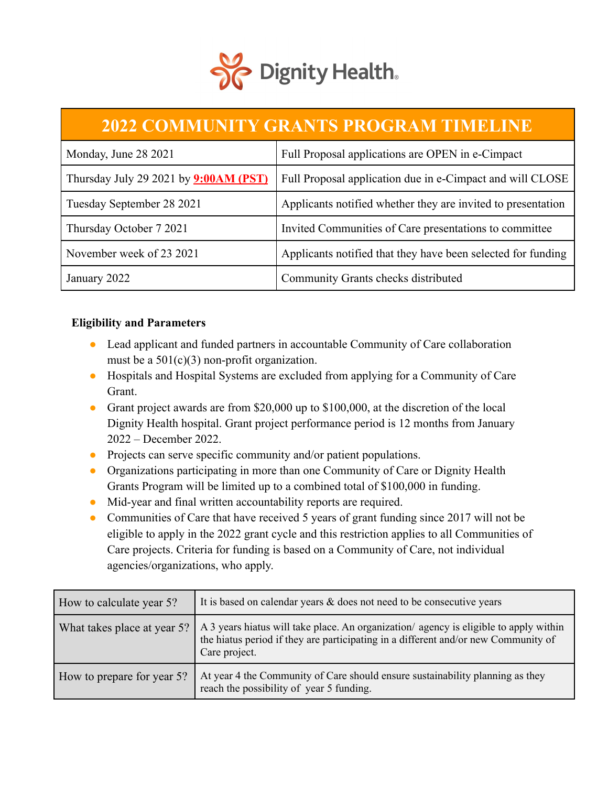

# **2022 COMMUNITY GRANTS PROGRAM TIMELINE**

| Monday, June 28 2021                         | Full Proposal applications are OPEN in e-Cimpact             |
|----------------------------------------------|--------------------------------------------------------------|
| Thursday July 29 2021 by <b>9:00AM (PST)</b> | Full Proposal application due in e-Cimpact and will CLOSE    |
| Tuesday September 28 2021                    | Applicants notified whether they are invited to presentation |
| Thursday October 7 2021                      | Invited Communities of Care presentations to committee       |
| November week of 23 2021                     | Applicants notified that they have been selected for funding |
| January 2022                                 | Community Grants checks distributed                          |

## **Eligibility and Parameters**

- Lead applicant and funded partners in accountable Community of Care collaboration must be a 501(c)(3) non-profit organization.
- Hospitals and Hospital Systems are excluded from applying for a Community of Care Grant.
- Grant project awards are from \$20,000 up to \$100,000, at the discretion of the local Dignity Health hospital. Grant project performance period is 12 months from January 2022 – December 2022.
- Projects can serve specific community and/or patient populations.
- Organizations participating in more than one Community of Care or Dignity Health Grants Program will be limited up to a combined total of \$100,000 in funding.
- Mid-year and final written accountability reports are required.
- Communities of Care that have received 5 years of grant funding since 2017 will not be eligible to apply in the 2022 grant cycle and this restriction applies to all Communities of Care projects. Criteria for funding is based on a Community of Care, not individual agencies/organizations, who apply.

| How to calculate year 5?    | It is based on calendar years $\&$ does not need to be consecutive years                                                                                                                     |
|-----------------------------|----------------------------------------------------------------------------------------------------------------------------------------------------------------------------------------------|
| What takes place at year 5? | A 3 years hiatus will take place. An organization/ agency is eligible to apply within<br>the hiatus period if they are participating in a different and/or new Community of<br>Care project. |
| How to prepare for year 5?  | At year 4 the Community of Care should ensure sustainability planning as they<br>reach the possibility of year 5 funding.                                                                    |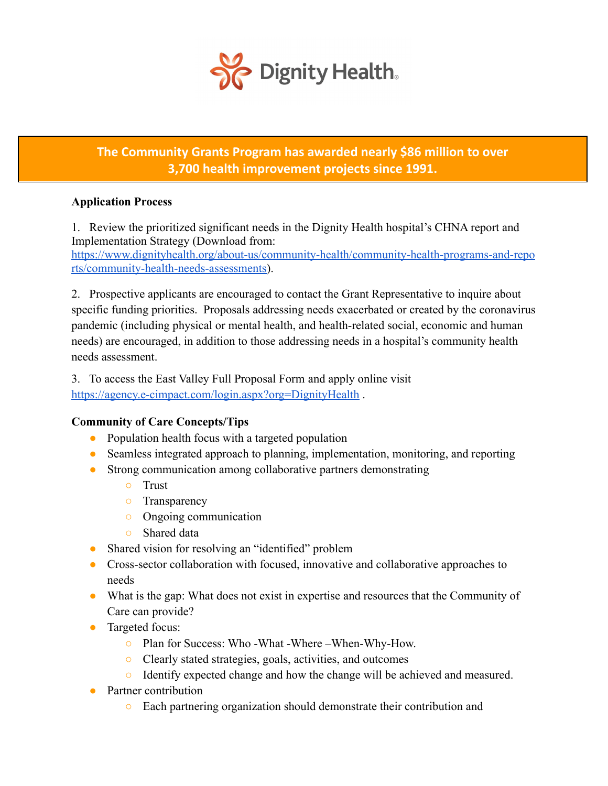

# **The Community Grants Program has awarded nearly \$86 million to over 3,700 health improvement projects since 1991.**

## **Application Process**

1. Review the prioritized significant needs in the Dignity Health hospital's CHNA report and Implementation Strategy (Download from: [https://www.dignityhealth.org/about-us/community-health/community-health-programs-and-repo](https://www.dignityhealth.org/about-us/community-health/community-health-programs-and-reports/community-health-needs-assessments)

[rts/community-health-needs-assessments\)](https://www.dignityhealth.org/about-us/community-health/community-health-programs-and-reports/community-health-needs-assessments).

2. Prospective applicants are encouraged to contact the Grant Representative to inquire about specific funding priorities. Proposals addressing needs exacerbated or created by the coronavirus pandemic (including physical or mental health, and health-related social, economic and human needs) are encouraged, in addition to those addressing needs in a hospital's community health needs assessment.

3. To access the East Valley Full Proposal Form and apply online visi[t](https://agency.e-cimpact.com/login.aspx?org=DignityHealth) <https://agency.e-cimpact.com/login.aspx?org=DignityHealth> .

#### **Community of Care Concepts/Tips**

- Population health focus with a targeted population
- Seamless integrated approach to planning, implementation, monitoring, and reporting
- Strong communication among collaborative partners demonstrating
	- Trust
	- Transparency
	- Ongoing communication
	- Shared data
- Shared vision for resolving an "identified" problem
- Cross-sector collaboration with focused, innovative and collaborative approaches to needs
- What is the gap: What does not exist in expertise and resources that the Community of Care can provide?
- Targeted focus:
	- Plan for Success: Who -What -Where –When-Why-How.
	- Clearly stated strategies, goals, activities, and outcomes
	- Identify expected change and how the change will be achieved and measured.
- Partner contribution
	- Each partnering organization should demonstrate their contribution and